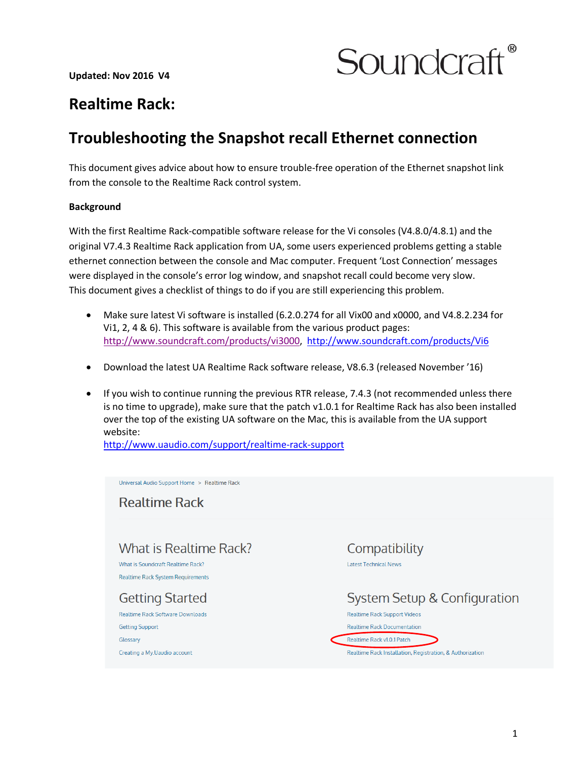

# **Realtime Rack:**

# **Troubleshooting the Snapshot recall Ethernet connection**

This document gives advice about how to ensure trouble-free operation of the Ethernet snapshot link from the console to the Realtime Rack control system.

## **Background**

With the first Realtime Rack-compatible software release for the Vi consoles (V4.8.0/4.8.1) and the original V7.4.3 Realtime Rack application from UA, some users experienced problems getting a stable ethernet connection between the console and Mac computer. Frequent 'Lost Connection' messages were displayed in the console's error log window, and snapshot recall could become very slow. This document gives a checklist of things to do if you are still experiencing this problem.

- Make sure latest Vi software is installed (6.2.0.274 for all Vix00 and x0000, and V4.8.2.234 for Vi1, 2, 4 & 6). This software is available from the various product pages: [http://www.soundcraft.com/products/vi3000,](http://www.soundcraft.com/products/vi3000) <http://www.soundcraft.com/products/Vi6>
- Download the latest UA Realtime Rack software release, V8.6.3 (released November '16)
- If you wish to continue running the previous RTR release, 7.4.3 (not recommended unless there is no time to upgrade), make sure that the patch v1.0.1 for Realtime Rack has also been installed over the top of the existing UA software on the Mac, this is available from the UA support website:

<http://www.uaudio.com/support/realtime-rack-support>

Universal Audio Support Home > Realtime Rack **Realtime Rack** What is Realtime Rack? Compatibility What is Soundcraft Realtime Rack? **Latest Technical News Realtime Rack System Requirements System Setup & Configuration Getting Started** Realtime Rack Software Downloads **Realtime Rack Support Videos Realtime Rack Documentation Getting Support** Glossary Realtime Rack v1.0.1 Patch Creating a My.Uaudio account Realtime Rack Installation, Registration, & Authorization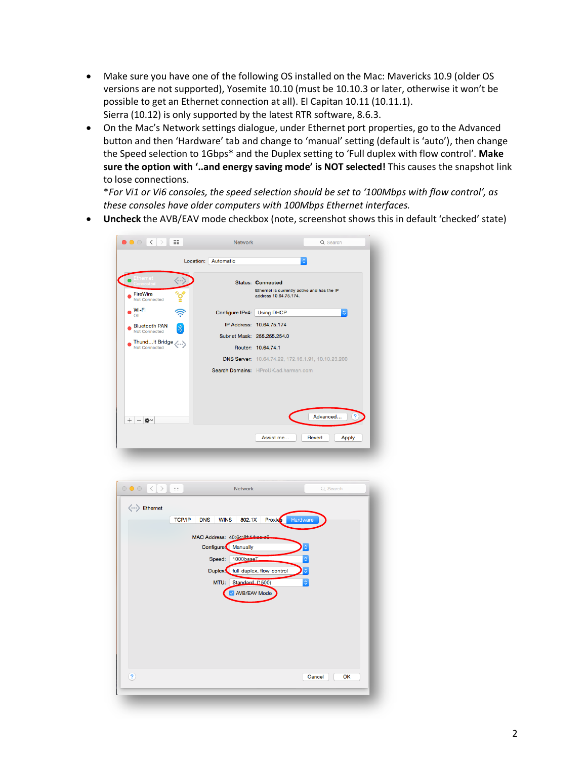- Make sure you have one of the following OS installed on the Mac: Mavericks 10.9 (older OS versions are not supported), Yosemite 10.10 (must be 10.10.3 or later, otherwise it won't be possible to get an Ethernet connection at all). El Capitan 10.11 (10.11.1). Sierra (10.12) is only supported by the latest RTR software, 8.6.3.
- On the Mac's Network settings dialogue, under Ethernet port properties, go to the Advanced button and then 'Hardware' tab and change to 'manual' setting (default is 'auto'), then change the Speed selection to 1Gbps\* and the Duplex setting to 'Full duplex with flow control'. **Make sure the option with '..and energy saving mode' is NOT selected!** This causes the snapshot link to lose connections.

\**For Vi1 or Vi6 consoles, the speed selection should be set to '100Mbps with flow control', as these consoles have older computers with 100Mbps Ethernet interfaces.*

Cancel OK

• **Uncheck** the AVB/EAV mode checkbox (note, screenshot shows this in default 'checked' state)

|                                       |                             | Location: Automatic                                      |                                                                      | Ć                      |
|---------------------------------------|-----------------------------|----------------------------------------------------------|----------------------------------------------------------------------|------------------------|
|                                       |                             |                                                          | <b>Status: Connected</b>                                             |                        |
| FireWire<br>Not Connected             |                             |                                                          | Ethernet is currently active and has the IP<br>address 10.64.75.174. |                        |
| Wi-Fi<br>Off                          |                             | Configure IPv4:   Using DHCP                             |                                                                      | $\hat{\downarrow}$     |
| <b>Bluetooth PAN</b><br>Not Connected |                             |                                                          | IP Address: 10.64.75.174                                             |                        |
|                                       |                             |                                                          | Subnet Mask: 255.255.254.0                                           |                        |
| ThundIt Bridge <><br>Not Connected    |                             |                                                          | Router: 10.64.74.1                                                   |                        |
|                                       |                             |                                                          | DNS Server: 10.64.74.22, 172.16.1.91, 10.10.23.200                   |                        |
|                                       |                             |                                                          | Search Domains: HProUK.ad.harman.com                                 |                        |
|                                       |                             |                                                          |                                                                      |                        |
|                                       |                             |                                                          |                                                                      |                        |
| $^{+}$<br>一卷。                         |                             |                                                          |                                                                      | ?<br>Advanced          |
|                                       |                             |                                                          |                                                                      |                        |
|                                       |                             |                                                          | Assist me                                                            | Revert                 |
|                                       |                             |                                                          |                                                                      | <b>Apply</b>           |
|                                       |                             |                                                          |                                                                      |                        |
| $\langle$<br>$\rightarrow$            | m                           | <b>Network</b>                                           |                                                                      | Q Search               |
| <> Ethernet                           |                             |                                                          |                                                                      |                        |
|                                       | <b>TCP/IP</b><br><b>DNS</b> | <b>WINS</b><br>802.1X                                    | Hardware<br><b>Proxies</b>                                           |                        |
|                                       |                             |                                                          |                                                                      |                        |
|                                       |                             | MAC Address: 40:6c:8f:14:eere9<br>Configure:<br>Manually |                                                                      |                        |
|                                       |                             | 1000baseT<br>Speed:                                      |                                                                      | $\hat{\bm{\varsigma}}$ |
|                                       |                             |                                                          |                                                                      |                        |
|                                       |                             | Duplex:                                                  | full-duplex, flow-control                                            |                        |
|                                       |                             | MTU:<br>Standard (1500)<br><b>AVB/EAV Mode</b>           |                                                                      | ¢                      |
| $\circ\bullet\circ$                   |                             |                                                          |                                                                      |                        |
|                                       |                             |                                                          |                                                                      |                        |
|                                       |                             |                                                          |                                                                      |                        |

 $\overline{2}$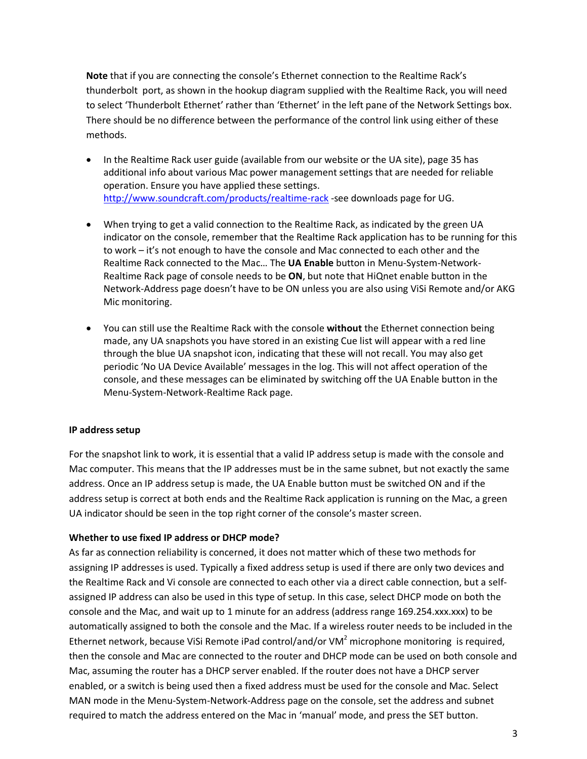**Note** that if you are connecting the console's Ethernet connection to the Realtime Rack's thunderbolt port, as shown in the hookup diagram supplied with the Realtime Rack, you will need to select 'Thunderbolt Ethernet' rather than 'Ethernet' in the left pane of the Network Settings box. There should be no difference between the performance of the control link using either of these methods.

- In the Realtime Rack user guide (available from our website or the UA site), page 35 has additional info about various Mac power management settings that are needed for reliable operation. Ensure you have applied these settings. <http://www.soundcraft.com/products/realtime-rack> -see downloads page for UG.
- When trying to get a valid connection to the Realtime Rack, as indicated by the green UA indicator on the console, remember that the Realtime Rack application has to be running for this to work – it's not enough to have the console and Mac connected to each other and the Realtime Rack connected to the Mac… The **UA Enable** button in Menu-System-Network-Realtime Rack page of console needs to be **ON**, but note that HiQnet enable button in the Network-Address page doesn't have to be ON unless you are also using ViSi Remote and/or AKG Mic monitoring.
- You can still use the Realtime Rack with the console **without** the Ethernet connection being made, any UA snapshots you have stored in an existing Cue list will appear with a red line through the blue UA snapshot icon, indicating that these will not recall. You may also get periodic 'No UA Device Available' messages in the log. This will not affect operation of the console, and these messages can be eliminated by switching off the UA Enable button in the Menu-System-Network-Realtime Rack page.

#### **IP address setup**

For the snapshot link to work, it is essential that a valid IP address setup is made with the console and Mac computer. This means that the IP addresses must be in the same subnet, but not exactly the same address. Once an IP address setup is made, the UA Enable button must be switched ON and if the address setup is correct at both ends and the Realtime Rack application is running on the Mac, a green UA indicator should be seen in the top right corner of the console's master screen.

#### **Whether to use fixed IP address or DHCP mode?**

As far as connection reliability is concerned, it does not matter which of these two methods for assigning IP addresses is used. Typically a fixed address setup is used if there are only two devices and the Realtime Rack and Vi console are connected to each other via a direct cable connection, but a selfassigned IP address can also be used in this type of setup. In this case, select DHCP mode on both the console and the Mac, and wait up to 1 minute for an address (address range 169.254.xxx.xxx) to be automatically assigned to both the console and the Mac. If a wireless router needs to be included in the Ethernet network, because ViSi Remote iPad control/and/or VM<sup>2</sup> microphone monitoring is required, then the console and Mac are connected to the router and DHCP mode can be used on both console and Mac, assuming the router has a DHCP server enabled. If the router does not have a DHCP server enabled, or a switch is being used then a fixed address must be used for the console and Mac. Select MAN mode in the Menu-System-Network-Address page on the console, set the address and subnet required to match the address entered on the Mac in 'manual' mode, and press the SET button.